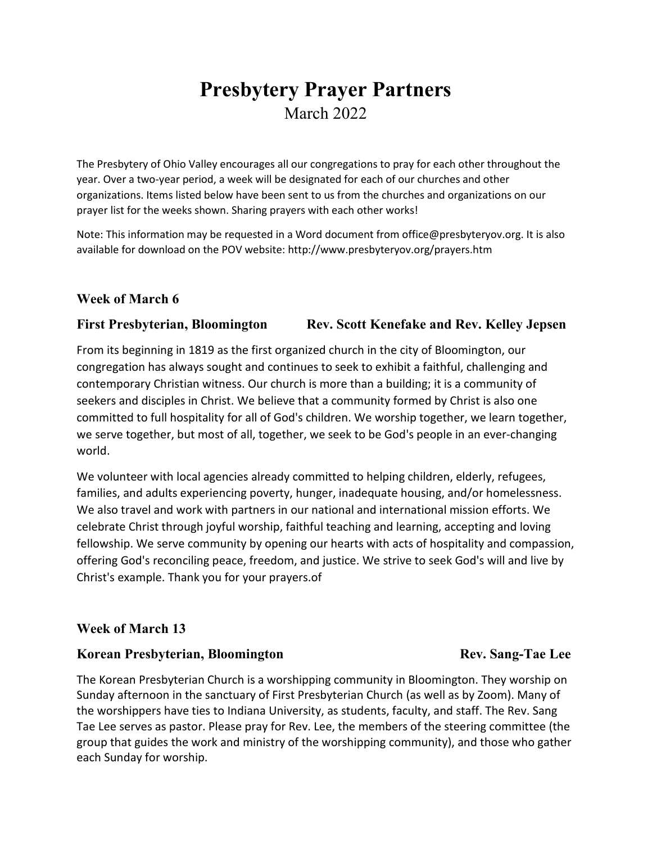# **Presbytery Prayer Partners** March 2022

The Presbytery of Ohio Valley encourages all our congregations to pray for each other throughout the year. Over a two-year period, a week will be designated for each of our churches and other organizations. Items listed below have been sent to us from the churches and organizations on our prayer list for the weeks shown. Sharing prayers with each other works!

Note: This information may be requested in a Word document from office@presbyteryov.org. It is also available for download on the POV website: http://www.presbyteryov.org/prayers.htm

### **Week of March 6**

#### **First Presbyterian, Bloomington Rev. Scott Kenefake and Rev. Kelley Jepsen**

From its beginning in 1819 as the first organized church in the city of Bloomington, our congregation has always sought and continues to seek to exhibit a faithful, challenging and contemporary Christian witness. Our church is more than a building; it is a community of seekers and disciples in Christ. We believe that a community formed by Christ is also one committed to full hospitality for all of God's children. We worship together, we learn together, we serve together, but most of all, together, we seek to be God's people in an ever-changing world.

We volunteer with local agencies already committed to helping children, elderly, refugees, families, and adults experiencing poverty, hunger, inadequate housing, and/or homelessness. We also travel and work with partners in our national and international mission efforts. We celebrate Christ through joyful worship, faithful teaching and learning, accepting and loving fellowship. We serve community by opening our hearts with acts of hospitality and compassion, offering God's reconciling peace, freedom, and justice. We strive to seek God's will and live by Christ's example. Thank you for your prayers.of

#### **Week of March 13**

#### **Korean Presbyterian, Bloomington Rev. Sang-Tae Lee**

The Korean Presbyterian Church is a worshipping community in Bloomington. They worship on Sunday afternoon in the sanctuary of First Presbyterian Church (as well as by Zoom). Many of the worshippers have ties to Indiana University, as students, faculty, and staff. The Rev. Sang Tae Lee serves as pastor. Please pray for Rev. Lee, the members of the steering committee (the group that guides the work and ministry of the worshipping community), and those who gather each Sunday for worship.